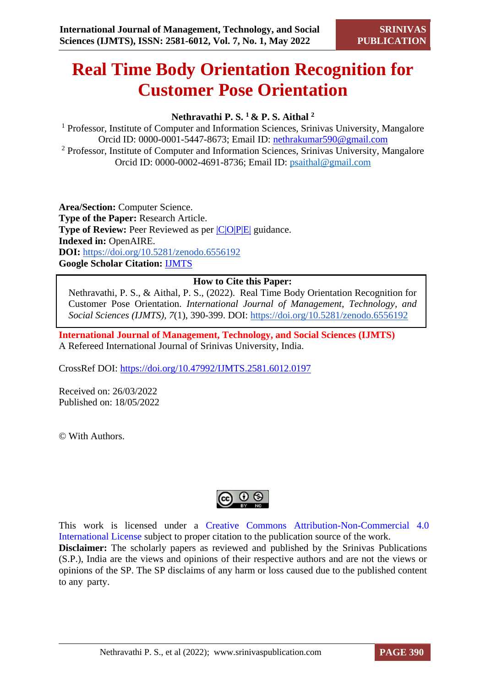# **Real Time Body Orientation Recognition for Customer Pose Orientation**

# **Nethravathi P. S. <sup>1</sup>& P. S. Aithal <sup>2</sup>**

<sup>1</sup> Professor, Institute of Computer and Information Sciences, Srinivas University, Mangalore Orcid ID: 0000-0001-5447-8673; Email ID: [nethrakumar590@gmail.com](mailto:nethrakumar590@gmail.com) <sup>2</sup> Professor, Institute of Computer and Information Sciences, Srinivas University, Mangalore Orcid ID: 0000-0002-4691-8736; Email ID: [psaithal@gmail.com](mailto:psaithal@gmail.com)

**Area/Section:** Computer Science. **Type of the Paper:** Research Article. **Type of Review:** Peer Reviewed as per  $|C|O||P|E|$  guidance. **Indexed in:** OpenAIRE. **DOI:** <https://doi.org/10.5281/zenodo.6556192> **Google Scholar Citation:** [IJMTS](https://scholar.google.com/citations?user=bphF0BQAAAAJ)

## **How to Cite this Paper:**

Nethravathi, P. S., & Aithal, P. S., (2022). Real Time Body Orientation Recognition for Customer Pose Orientation. *International Journal of Management, Technology, and Social Sciences (IJMTS), 7*(1), 390-399. DOI:<https://doi.org/10.5281/zenodo.6556192>

**International Journal of Management, Technology, and Social Sciences (IJMTS)** A Refereed International Journal of Srinivas University, India.

CrossRef DOI: [https://doi.org/10.47992/IJMTS.2581.6012.0197](https://search.crossref.org/?q=10.47992%2FIJMTS.2581.6012.0197&from_ui=yes)

Received on: 26/03/2022 Published on: 18/05/2022

© With Authors.



This work is licensed under a Creative Commons Attribution-Non-Commercial 4.0 International License subject to proper citation to the publication source of the work. **Disclaimer:** The scholarly papers as reviewed and published by the Srinivas Publications (S.P.), India are the views and opinions of their respective authors and are not the views or opinions of the SP. The SP disclaims of any harm or loss caused due to the published content to any party.

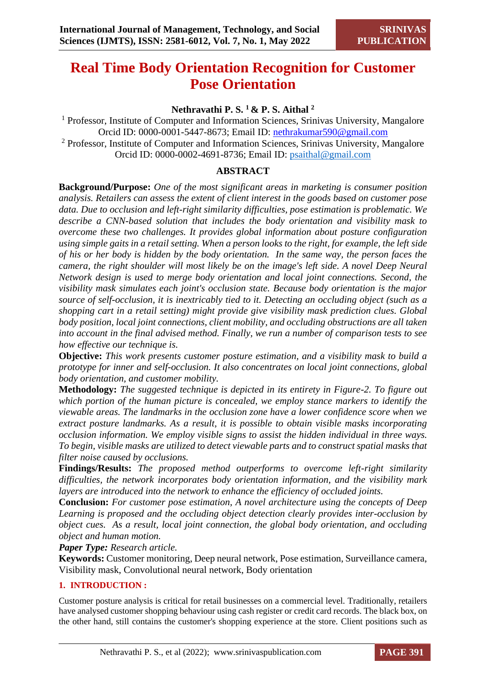# **Real Time Body Orientation Recognition for Customer Pose Orientation**

# **Nethravathi P. S. <sup>1</sup>& P. S. Aithal <sup>2</sup>**

<sup>1</sup> Professor, Institute of Computer and Information Sciences, Srinivas University, Mangalore Orcid ID: 0000-0001-5447-8673; Email ID: [nethrakumar590@gmail.com](mailto:nethrakumar590@gmail.com) <sup>2</sup> Professor, Institute of Computer and Information Sciences, Srinivas University, Mangalore Orcid ID: 0000-0002-4691-8736; Email ID: [psaithal@gmail.com](mailto:psaithal@gmail.com)

# **ABSTRACT**

**Background/Purpose:** *One of the most significant areas in marketing is consumer position analysis. Retailers can assess the extent of client interest in the goods based on customer pose data. Due to occlusion and left-right similarity difficulties, pose estimation is problematic. We describe a CNN-based solution that includes the body orientation and visibility mask to overcome these two challenges. It provides global information about posture configuration using simple gaits in a retail setting. When a person looks to the right, for example, the left side of his or her body is hidden by the body orientation. In the same way, the person faces the camera, the right shoulder will most likely be on the image's left side. A novel Deep Neural Network design is used to merge body orientation and local joint connections. Second, the visibility mask simulates each joint's occlusion state. Because body orientation is the major source of self-occlusion, it is inextricably tied to it. Detecting an occluding object (such as a shopping cart in a retail setting) might provide give visibility mask prediction clues. Global body position, local joint connections, client mobility, and occluding obstructions are all taken into account in the final advised method. Finally, we run a number of comparison tests to see how effective our technique is.*

**Objective:** *This work presents customer posture estimation, and a visibility mask to build a prototype for inner and self-occlusion. It also concentrates on local joint connections, global body orientation, and customer mobility.*

**Methodology:** *The suggested technique is depicted in its entirety in Figure-2. To figure out which portion of the human picture is concealed, we employ stance markers to identify the viewable areas. The landmarks in the occlusion zone have a lower confidence score when we extract posture landmarks. As a result, it is possible to obtain visible masks incorporating occlusion information. We employ visible signs to assist the hidden individual in three ways. To begin, visible masks are utilized to detect viewable parts and to construct spatial masks that filter noise caused by occlusions.*

**Findings/Results:** *The proposed method outperforms to overcome left-right similarity difficulties, the network incorporates body orientation information, and the visibility mark layers are introduced into the network to enhance the efficiency of occluded joints.*

**Conclusion:** *For customer pose estimation, A novel architecture using the concepts of Deep Learning is proposed and the occluding object detection clearly provides inter-occlusion by object cues. As a result, local joint connection, the global body orientation, and occluding object and human motion.*

*Paper Type: Research article.*

**Keywords:** Customer monitoring, Deep neural network, Pose estimation, Surveillance camera, Visibility mask, Convolutional neural network, Body orientation

## **1. INTRODUCTION :**

Customer posture analysis is critical for retail businesses on a commercial level. Traditionally, retailers have analysed customer shopping behaviour using cash register or credit card records. The black box, on the other hand, still contains the customer's shopping experience at the store. Client positions such as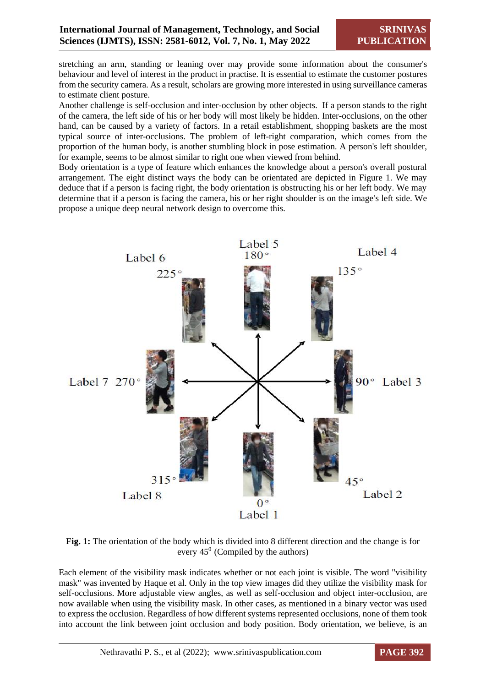stretching an arm, standing or leaning over may provide some information about the consumer's behaviour and level of interest in the product in practise. It is essential to estimate the customer postures from the security camera. As a result, scholars are growing more interested in using surveillance cameras to estimate client posture.

Another challenge is self-occlusion and inter-occlusion by other objects. If a person stands to the right of the camera, the left side of his or her body will most likely be hidden. Inter-occlusions, on the other hand, can be caused by a variety of factors. In a retail establishment, shopping baskets are the most typical source of inter-occlusions. The problem of left-right comparation, which comes from the proportion of the human body, is another stumbling block in pose estimation. A person's left shoulder, for example, seems to be almost similar to right one when viewed from behind.

Body orientation is a type of feature which enhances the knowledge about a person's overall postural arrangement. The eight distinct ways the body can be orientated are depicted in Figure 1. We may deduce that if a person is facing right, the body orientation is obstructing his or her left body. We may determine that if a person is facing the camera, his or her right shoulder is on the image's left side. We propose a unique deep neural network design to overcome this.



**Fig. 1:** The orientation of the body which is divided into 8 different direction and the change is for every  $45^{\circ}$  (Compiled by the authors)

Each element of the visibility mask indicates whether or not each joint is visible. The word "visibility mask" was invented by Haque et al. Only in the top view images did they utilize the visibility mask for self-occlusions. More adjustable view angles, as well as self-occlusion and object inter-occlusion, are now available when using the visibility mask. In other cases, as mentioned in a binary vector was used to express the occlusion. Regardless of how different systems represented occlusions, none of them took into account the link between joint occlusion and body position. Body orientation, we believe, is an

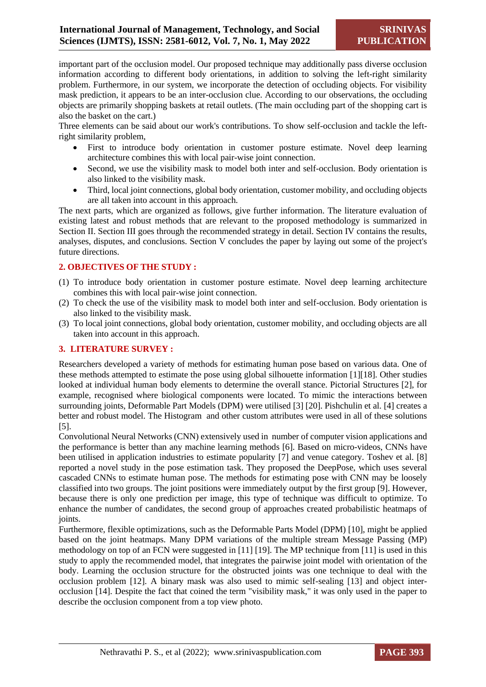important part of the occlusion model. Our proposed technique may additionally pass diverse occlusion information according to different body orientations, in addition to solving the left-right similarity problem. Furthermore, in our system, we incorporate the detection of occluding objects. For visibility mask prediction, it appears to be an inter-occlusion clue. According to our observations, the occluding objects are primarily shopping baskets at retail outlets. (The main occluding part of the shopping cart is also the basket on the cart.)

Three elements can be said about our work's contributions. To show self-occlusion and tackle the leftright similarity problem,

- First to introduce body orientation in customer posture estimate. Novel deep learning architecture combines this with local pair-wise joint connection.
- Second, we use the visibility mask to model both inter and self-occlusion. Body orientation is also linked to the visibility mask.
- Third, local joint connections, global body orientation, customer mobility, and occluding objects are all taken into account in this approach.

The next parts, which are organized as follows, give further information. The literature evaluation of existing latest and robust methods that are relevant to the proposed methodology is summarized in Section II. Section III goes through the recommended strategy in detail. Section IV contains the results, analyses, disputes, and conclusions. Section V concludes the paper by laying out some of the project's future directions.

#### **2. OBJECTIVES OF THE STUDY :**

- (1) To introduce body orientation in customer posture estimate. Novel deep learning architecture combines this with local pair-wise joint connection.
- (2) To check the use of the visibility mask to model both inter and self-occlusion. Body orientation is also linked to the visibility mask.
- (3) To local joint connections, global body orientation, customer mobility, and occluding objects are all taken into account in this approach.

#### **3. LITERATURE SURVEY :**

Researchers developed a variety of methods for estimating human pose based on various data. One of these methods attempted to estimate the pose using global silhouette information [1][18]. Other studies looked at individual human body elements to determine the overall stance. Pictorial Structures [2], for example, recognised where biological components were located. To mimic the interactions between surrounding joints, Deformable Part Models (DPM) were utilised [3] [20]. Pishchulin et al. [4] creates a better and robust model. The Histogram and other custom attributes were used in all of these solutions [5].

Convolutional Neural Networks (CNN) extensively used in number of computer vision applications and the performance is better than any machine learning methods [6]. Based on micro-videos, CNNs have been utilised in application industries to estimate popularity [7] and venue category. Toshev et al. [8] reported a novel study in the pose estimation task. They proposed the DeepPose, which uses several cascaded CNNs to estimate human pose. The methods for estimating pose with CNN may be loosely classified into two groups. The joint positions were immediately output by the first group [9]. However, because there is only one prediction per image, this type of technique was difficult to optimize. To enhance the number of candidates, the second group of approaches created probabilistic heatmaps of joints.

Furthermore, flexible optimizations, such as the Deformable Parts Model (DPM) [10], might be applied based on the joint heatmaps. Many DPM variations of the multiple stream Message Passing (MP) methodology on top of an FCN were suggested in [11] [19]. The MP technique from [11] is used in this study to apply the recommended model, that integrates the pairwise joint model with orientation of the body. Learning the occlusion structure for the obstructed joints was one technique to deal with the occlusion problem [12]. A binary mask was also used to mimic self-sealing [13] and object interocclusion [14]. Despite the fact that coined the term "visibility mask," it was only used in the paper to describe the occlusion component from a top view photo.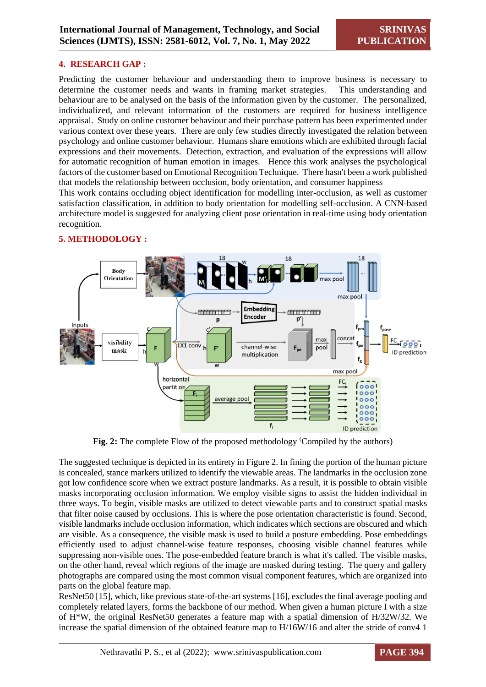#### **4. RESEARCH GAP :**

Predicting the customer behaviour and understanding them to improve business is necessary to determine the customer needs and wants in framing market strategies. This understanding and behaviour are to be analysed on the basis of the information given by the customer. The personalized, individualized, and relevant information of the customers are required for business intelligence appraisal. Study on online customer behaviour and their purchase pattern has been experimented under various context over these years. There are only few studies directly investigated the relation between psychology and online customer behaviour. Humans share emotions which are exhibited through facial expressions and their movements. Detection, extraction, and evaluation of the expressions will allow for automatic recognition of human emotion in images. Hence this work analyses the psychological factors of the customer based on Emotional Recognition Technique. There hasn't been a work published that models the relationship between occlusion, body orientation, and consumer happiness

This work contains occluding object identification for modelling inter-occlusion, as well as customer satisfaction classification, in addition to body orientation for modelling self-occlusion. A CNN-based architecture model is suggested for analyzing client pose orientation in real-time using body orientation recognition.



#### **5. METHODOLOGY :**

**Fig. 2:** The complete Flow of the proposed methodology <sup>(</sup>Compiled by the authors)

The suggested technique is depicted in its entirety in Figure 2. In fining the portion of the human picture is concealed, stance markers utilized to identify the viewable areas. The landmarks in the occlusion zone got low confidence score when we extract posture landmarks. As a result, it is possible to obtain visible masks incorporating occlusion information. We employ visible signs to assist the hidden individual in three ways. To begin, visible masks are utilized to detect viewable parts and to construct spatial masks that filter noise caused by occlusions. This is where the pose orientation characteristic is found. Second, visible landmarks include occlusion information, which indicates which sections are obscured and which are visible. As a consequence, the visible mask is used to build a posture embedding. Pose embeddings efficiently used to adjust channel-wise feature responses, choosing visible channel features while suppressing non-visible ones. The pose-embedded feature branch is what it's called. The visible masks, on the other hand, reveal which regions of the image are masked during testing. The query and gallery photographs are compared using the most common visual component features, which are organized into parts on the global feature map.

ResNet50 [15], which, like previous state-of-the-art systems [16], excludes the final average pooling and completely related layers, forms the backbone of our method. When given a human picture I with a size of H\*W, the original ResNet50 generates a feature map with a spatial dimension of H/32W/32. We increase the spatial dimension of the obtained feature map to H/16W/16 and alter the stride of conv4 1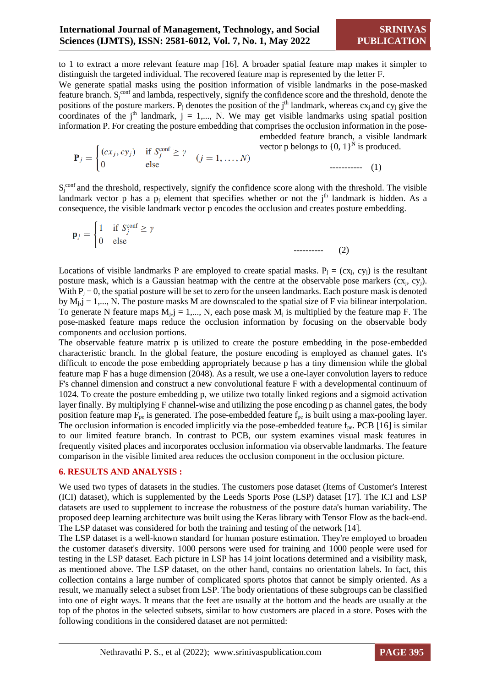to 1 to extract a more relevant feature map [16]. A broader spatial feature map makes it simpler to distinguish the targeted individual. The recovered feature map is represented by the letter F.

We generate spatial masks using the position information of visible landmarks in the pose-masked feature branch.  $S_j^{\text{conf}}$  and lambda, respectively, signify the confidence score and the threshold, denote the positions of the posture markers. P<sub>j</sub> denotes the position of the j<sup>th</sup> landmark, whereas  $cx_j$  and  $cy_j$  give the coordinates of the j<sup>th</sup> landmark,  $j = 1,..., N$ . We may get visible landmarks using spatial position information P. For creating the posture embedding that comprises the occlusion information in the pose-

embedded feature branch, a visible landmark vector p belongs to  $\{0, 1\}^N$  is produced.

 $(2)$ 

$$
\mathbf{P}_{j} = \begin{cases} (cx_{j}, cy_{j}) & \text{if } S_{j}^{\text{conf}} \ge \gamma \\ 0 & \text{else} \end{cases} \quad (j = 1, ..., N)
$$
 vector p belongs to {0, 1} is prod

 $S_j^{\text{conf}}$  and the threshold, respectively, signify the confidence score along with the threshold. The visible landmark vector p has a  $p_i$  element that specifies whether or not the  $i<sup>th</sup>$  landmark is hidden. As a consequence, the visible landmark vector p encodes the occlusion and creates posture embedding.

$$
\mathbf{p}_{j} = \begin{cases} 1 & \text{if } S_{j}^{\text{conf}} \geq \gamma \\ 0 & \text{else} \end{cases}
$$

Locations of visible landmarks P are employed to create spatial masks.  $P_i = (cx_i, cy_i)$  is the resultant posture mask, which is a Gaussian heatmap with the centre at the observable pose markers  $(cx_i, cy_j)$ . With  $P_i = 0$ , the spatial posture will be set to zero for the unseen landmarks. Each posture mask is denoted by  $M_{i,j} = 1,..., N$ . The posture masks M are downscaled to the spatial size of F via bilinear interpolation. To generate N feature maps  $M_{i,j} = 1,..., N$ , each pose mask  $M_i$  is multiplied by the feature map F. The pose-masked feature maps reduce the occlusion information by focusing on the observable body components and occlusion portions.

The observable feature matrix p is utilized to create the posture embedding in the pose-embedded characteristic branch. In the global feature, the posture encoding is employed as channel gates. It's difficult to encode the pose embedding appropriately because p has a tiny dimension while the global feature map F has a huge dimension (2048). As a result, we use a one-layer convolution layers to reduce F's channel dimension and construct a new convolutional feature F with a developmental continuum of 1024. To create the posture embedding p, we utilize two totally linked regions and a sigmoid activation layer finally. By multiplying F channel-wise and utilizing the pose encoding p as channel gates, the body position feature map  $F_{pe}$  is generated. The pose-embedded feature  $f_{pe}$  is built using a max-pooling layer. The occlusion information is encoded implicitly via the pose-embedded feature  $f_{pe}$ . PCB [16] is similar to our limited feature branch. In contrast to PCB, our system examines visual mask features in frequently visited places and incorporates occlusion information via observable landmarks. The feature comparison in the visible limited area reduces the occlusion component in the occlusion picture.

#### **6. RESULTS AND ANALYSIS :**

We used two types of datasets in the studies. The customers pose dataset (Items of Customer's Interest (ICI) dataset), which is supplemented by the Leeds Sports Pose (LSP) dataset [17]. The ICI and LSP datasets are used to supplement to increase the robustness of the posture data's human variability. The proposed deep learning architecture was built using the Keras library with Tensor Flow as the back-end. The LSP dataset was considered for both the training and testing of the network [14].

The LSP dataset is a well-known standard for human posture estimation. They're employed to broaden the customer dataset's diversity. 1000 persons were used for training and 1000 people were used for testing in the LSP dataset. Each picture in LSP has 14 joint locations determined and a visibility mask, as mentioned above. The LSP dataset, on the other hand, contains no orientation labels. In fact, this collection contains a large number of complicated sports photos that cannot be simply oriented. As a result, we manually select a subset from LSP. The body orientations of these subgroups can be classified into one of eight ways. It means that the feet are usually at the bottom and the heads are usually at the top of the photos in the selected subsets, similar to how customers are placed in a store. Poses with the following conditions in the considered dataset are not permitted: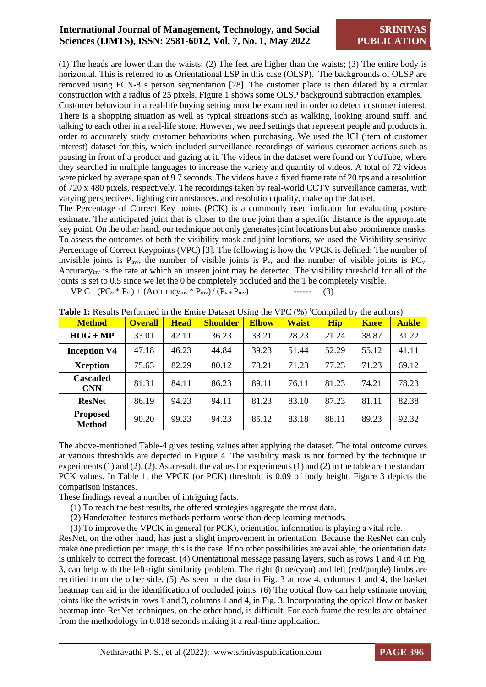(1) The heads are lower than the waists; (2) The feet are higher than the waists; (3) The entire body is horizontal. This is referred to as Orientational LSP in this case (OLSP). The backgrounds of OLSP are removed using FCN-8 s person segmentation [28]. The customer place is then dilated by a circular construction with a radius of 25 pixels. Figure 1 shows some OLSP background subtraction examples.

Customer behaviour in a real-life buying setting must be examined in order to detect customer interest. There is a shopping situation as well as typical situations such as walking, looking around stuff, and talking to each other in a real-life store. However, we need settings that represent people and products in order to accurately study customer behaviours when purchasing. We used the ICI (item of customer interest) dataset for this, which included surveillance recordings of various customer actions such as pausing in front of a product and gazing at it. The videos in the dataset were found on YouTube, where they searched in multiple languages to increase the variety and quantity of videos. A total of 72 videos were picked by average span of 9.7 seconds. The videos have a fixed frame rate of 20 fps and a resolution of 720 x 480 pixels, respectively. The recordings taken by real-world CCTV surveillance cameras, with varying perspectives, lighting circumstances, and resolution quality, make up the dataset.

The Percentage of Correct Key points (PCK) is a commonly used indicator for evaluating posture estimate. The anticipated joint that is closer to the true joint than a specific distance is the appropriate key point. On the other hand, our technique not only generates joint locations but also prominence masks. To assess the outcomes of both the visibility mask and joint locations, we used the Visibility sensitive Percentage of Correct Keypoints (VPC) [3]. The following is how the VPCK is defined: The number of invisible joints is  $P_{inv}$ , the number of visible joints is  $P_v$ , and the number of visible joints is  $PC_v$ . Accuracyinv is the rate at which an unseen joint may be detected. The visibility threshold for all of the joints is set to 0.5 since we let the 0 be completely occluded and the 1 be completely visible.

 $VP C = (PC_v * P_v) + (Accuracy_{inv} * P_{inv}) / (P_v + P_{inv})$  ------ (3)

| <b>Method</b>                    | <b>Overall</b> | <b>Head</b> | <b>Shoulder</b> | <b>Elbow</b> | <b>Waist</b> | <b>Hip</b> | <b>Knee</b> | <b>Ankle</b> |
|----------------------------------|----------------|-------------|-----------------|--------------|--------------|------------|-------------|--------------|
| $HOG + MP$                       | 33.01          | 42.11       | 36.23           | 33.21        | 28.23        | 21.24      | 38.87       | 31.22        |
| <b>Inception V4</b>              | 47.18          | 46.23       | 44.84           | 39.23        | 51.44        | 52.29      | 55.12       | 41.11        |
| <b>Xception</b>                  | 75.63          | 82.29       | 80.12           | 78.21        | 71.23        | 77.23      | 71.23       | 69.12        |
| <b>Cascaded</b><br><b>CNN</b>    | 81.31          | 84.11       | 86.23           | 89.11        | 76.11        | 81.23      | 74.21       | 78.23        |
| <b>ResNet</b>                    | 86.19          | 94.23       | 94.11           | 81.23        | 83.10        | 87.23      | 81.11       | 82.38        |
| <b>Proposed</b><br><b>Method</b> | 90.20          | 99.23       | 94.23           | 85.12        | 83.18        | 88.11      | 89.23       | 92.32        |

**Table 1:** Results Performed in the Entire Dataset Using the VPC (%) Compiled by the authors)

The above-mentioned Table-4 gives testing values after applying the dataset. The total outcome curves at various thresholds are depicted in Figure 4. The visibility mask is not formed by the technique in experiments (1) and (2). (2). As a result, the values for experiments (1) and (2) in the table are the standard PCK values. In Table 1, the VPCK (or PCK) threshold is 0.09 of body height. Figure 3 depicts the comparison instances.

These findings reveal a number of intriguing facts.

- (1) To reach the best results, the offered strategies aggregate the most data.
- (2) Handcrafted features methods perform worse than deep learning methods.
- (3) To improve the VPCK in general (or PCK), orientation information is playing a vital role.

ResNet, on the other hand, has just a slight improvement in orientation. Because the ResNet can only make one prediction per image, this is the case. If no other possibilities are available, the orientation data is unlikely to correct the forecast. (4) Orientational message passing layers, such as rows 1 and 4 in Fig. 3, can help with the left-right similarity problem. The right (blue/cyan) and left (red/purple) limbs are rectified from the other side. (5) As seen in the data in Fig. 3 at row 4, columns 1 and 4, the basket heatmap can aid in the identification of occluded joints. (6) The optical flow can help estimate moving joints like the wrists in rows 1 and 3, columns 1 and 4, in Fig. 3. Incorporating the optical flow or basket heatmap into ResNet techniques, on the other hand, is difficult. For each frame the results are obtained from the methodology in 0.018 seconds making it a real-time application.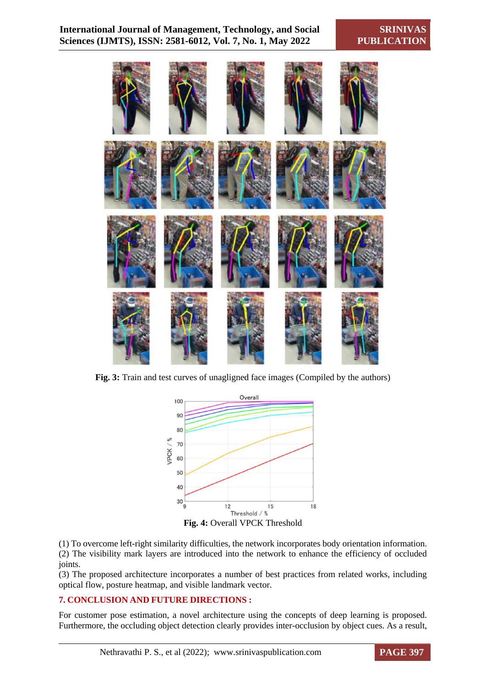

**Fig. 3:** Train and test curves of unagligned face images (Compiled by the authors)



**Fig. 4:** Overall VPCK Threshold

(1) To overcome left-right similarity difficulties, the network incorporates body orientation information. (2) The visibility mark layers are introduced into the network to enhance the efficiency of occluded joints.

(3) The proposed architecture incorporates a number of best practices from related works, including optical flow, posture heatmap, and visible landmark vector.

#### **7. CONCLUSION AND FUTURE DIRECTIONS :**

For customer pose estimation, a novel architecture using the concepts of deep learning is proposed. Furthermore, the occluding object detection clearly provides inter-occlusion by object cues. As a result,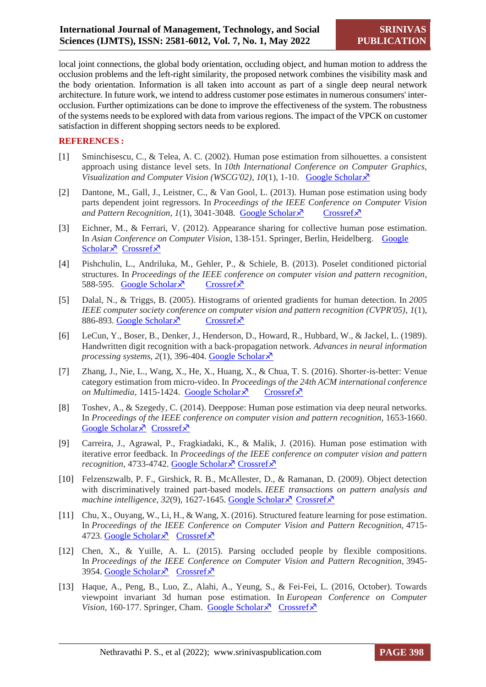local joint connections, the global body orientation, occluding object, and human motion to address the occlusion problems and the left-right similarity, the proposed network combines the visibility mask and the body orientation. Information is all taken into account as part of a single deep neural network architecture. In future work, we intend to address customer pose estimates in numerous consumers' interocclusion. Further optimizations can be done to improve the effectiveness of the system. The robustness of the systems needs to be explored with data from various regions. The impact of the VPCK on customer satisfaction in different shopping sectors needs to be explored.

#### **REFERENCES :**

- [1] Sminchisescu, C., & Telea, A. C. (2002). Human pose estimation from silhouettes. a consistent approach using distance level sets. In *10th International Conference on Computer Graphics, Visualization and Computer Vision (WSCG'02), 10(1), 1-10. [Google Scholar](https://hal.inria.fr/inria-00590165/)* $\lambda$ *<sup>7</sup>*
- [2] Dantone, M., Gall, J., Leistner, C., & Van Gool, L. (2013). Human pose estimation using body parts dependent joint regressors. In *Proceedings of the IEEE Conference on Computer Vision and Pattern Recognition, 1(1), 3041-3048.* [Google Scholar](http://openaccess.thecvf.com/content_cvpr_2013/html/Dantone_Human_Pose_Estimation_2013_CVPR_paper.html)  $\lambda$  [Crossref](https://doi.org/10.1109/cvpr.2013.391) $\lambda$
- [3] Eichner, M., & Ferrari, V. (2012). Appearance sharing for collective human pose estimation. In *Asian Conference on Computer Vision*, 138-151. Springer, Berlin, Heidelberg. [Google](https://link.springer.com/chapter/10.1007/978-3-642-37331-2_11)  [Scholar](https://link.springer.com/chapter/10.1007/978-3-642-37331-2_11) $\lambda$ <sup>7</sup> [Crossref](https://doi.org/10.1007/978-3-642-37331-2_11) $\lambda$ <sup>7</sup>
- [4] Pishchulin, L., Andriluka, M., Gehler, P., & Schiele, B. (2013). Poselet conditioned pictorial structures. In *Proceedings of the IEEE conference on computer vision and pattern recognition*, 588-595. [Google Scholar](http://openaccess.thecvf.com/content_cvpr_2013/html/Pishchulin_Poselet_Conditioned_Pictorial_2013_CVPR_paper.html)  $\sqrt{2}$  [Crossref](https://doi.org/10.1109/cvpr.2013.82)  $\sqrt{2}$
- [5] Dalal, N., & Triggs, B. (2005). Histograms of oriented gradients for human detection. In *2005 IEEE computer society conference on computer vision and pattern recognition (CVPR'05), 1*(1), 886-893. [Google Scholar](https://ieeexplore.ieee.org/abstract/document/1467360/)  $\times$  [Crossref](https://doi.org/10.1109/cvpr.2005.177)  $\times$
- [6] LeCun, Y., Boser, B., Denker, J., Henderson, D., Howard, R., Hubbard, W., & Jackel, L. (1989). Handwritten digit recognition with a back-propagation network. *Advances in neural information processing systems*, *2*(1), 396-404. [Google Scholar](https://proceedings.neurips.cc/paper/1989/hash/53c3bce66e43be4f209556518c2fcb54-Abstract.html)
- [7] Zhang, J., Nie, L., Wang, X., He, X., Huang, X., & Chua, T. S. (2016). Shorter-is-better: Venue category estimation from micro-video. In *Proceedings of the 24th ACM international conference on Multimedia*, 1415-1424. [Google Scholar](https://dl.acm.org/doi/abs/10.1145/2964284.2964307?casa_token=9hKG3eILQZAAAAAA:QZoRGCPP2pWBWqJb4eCB4u_cKp-vaaMj09ydLB9UbhyCPo5I58oIuiaAERDHVbnyu1Nmo8jY2-jytIY)  $\lambda$  [Crossref](https://doi.org/10.1145/2964284.2964307) $\lambda$
- [8] Toshev, A., & Szegedy, C. (2014). Deeppose: Human pose estimation via deep neural networks. In *Proceedings of the IEEE conference on computer vision and pattern recognition,* 1653-1660. [Google Scholar](http://openaccess.thecvf.com/content_cvpr_2014/html/Toshev_DeepPose_Human_Pose_2014_CVPR_paper.html)  $\lambda$  [Crossref](https://doi.org/10.1109/cvpr.2014.214) $\lambda$
- [9] Carreira, J., Agrawal, P., Fragkiadaki, K., & Malik, J. (2016). Human pose estimation with iterative error feedback. In *Proceedings of the IEEE conference on computer vision and pattern recognition, 4733-4742[. Google Scholar](http://openaccess.thecvf.com/content_cvpr_2016/html/Carreira_Human_Pose_Estimation_CVPR_2016_paper.html) P [Crossref](https://doi.org/10.1109/cvpr.2016.512)*
- [10] Felzenszwalb, P. F., Girshick, R. B., McAllester, D., & Ramanan, D. (2009). Object detection with discriminatively trained part-based models. *IEEE transactions on pattern analysis and machine intelligence*, 32(9), 1627-1645[. Google Scholar](https://ieeexplore.ieee.org/abstract/document/5255236/) R [Crossref](https://doi.org/10.1109/tpami.2009.167) R
- [11] Chu, X., Ouyang, W., Li, H., & Wang, X. (2016). Structured feature learning for pose estimation. In *Proceedings of the IEEE Conference on Computer Vision and Pattern Recognition,* 4715- 4723. [Google Scholar](http://openaccess.thecvf.com/content_cvpr_2016/html/Chu_Structured_Feature_Learning_CVPR_2016_paper.html) X [Crossref](https://doi.org/10.1109/cvpr.2016.510) X
- [12] Chen, X., & Yuille, A. L. (2015). Parsing occluded people by flexible compositions. In *Proceedings of the IEEE Conference on Computer Vision and Pattern Recognition,* 3945- 3954. [Google Scholar](http://openaccess.thecvf.com/content_cvpr_2015/html/Chen_Parsing_Occluded_People_2015_CVPR_paper.html)  $\lambda$  [Crossref](https://doi.org/10.1109/cvpr.2015.7299020) $\lambda$
- [13] Haque, A., Peng, B., Luo, Z., Alahi, A., Yeung, S., & Fei-Fei, L. (2016, October). Towards viewpoint invariant 3d human pose estimation. In *European Conference on Computer Vision,* 160-177. Springer, Cham. [Google Scholar](https://link.springer.com/chapter/10.1007/978-3-319-46448-0_10)  $\lambda$  [Crossref](https://doi.org/10.1007/978-3-319-46448-0_10)  $\lambda$